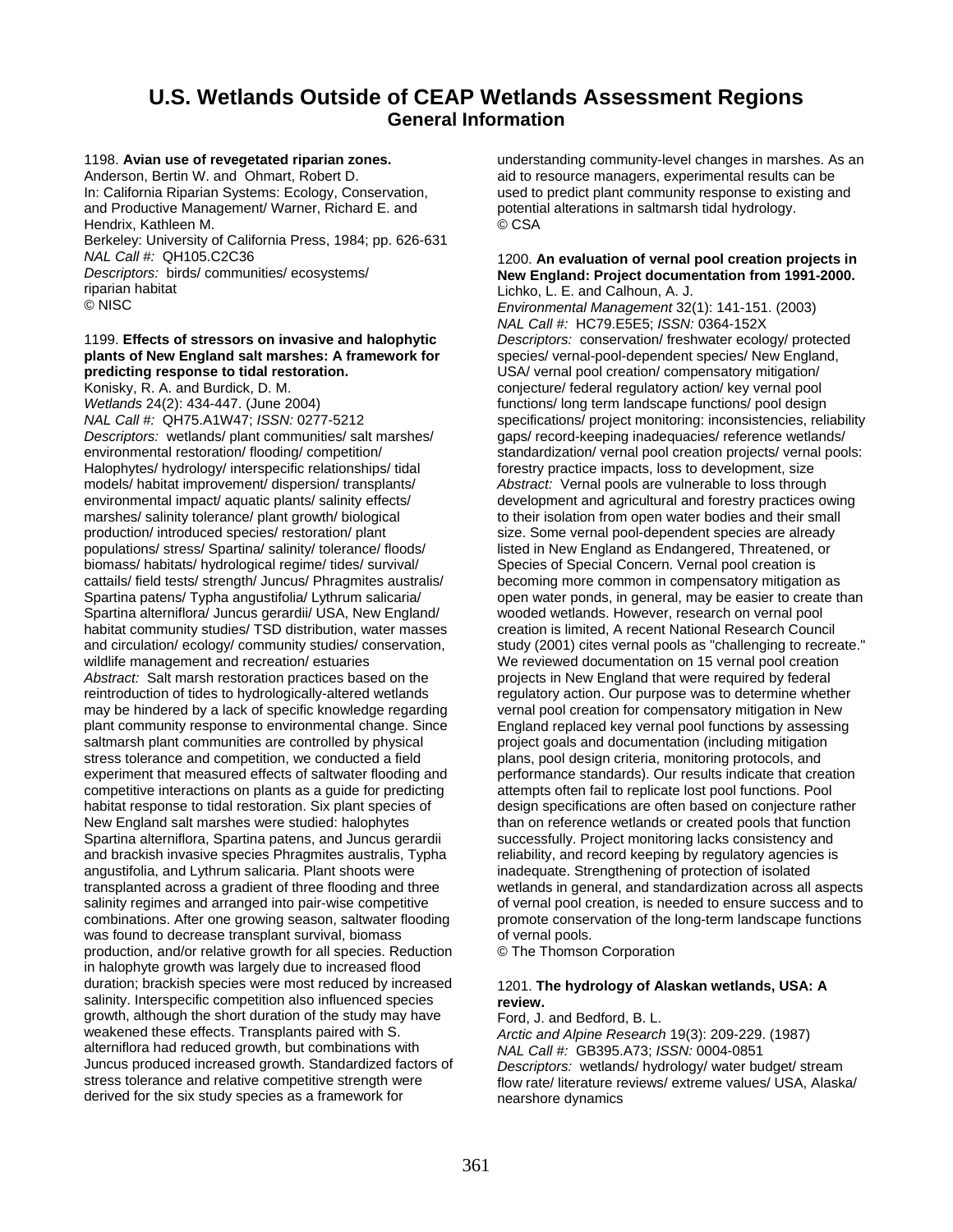# **U.S. Wetlands Outside of CEAP Wetlands Assessment Regions General Information**

1198. **Avian use of revegetated riparian zones.**  Anderson, Bertin W. and Ohmart, Robert D. In: California Riparian Systems: Ecology, Conservation, and Productive Management/ Warner, Richard E. and Hendrix, Kathleen M. Berkeley: University of California Press, 1984; pp. 626-631 *NAL Call #:* QH105.C2C36 *Descriptors:* birds/ communities/ ecosystems/ riparian habitat

© NISC

## 1199. **Effects of stressors on invasive and halophytic plants of New England salt marshes: A framework for predicting response to tidal restoration.**

Konisky, R. A. and Burdick, D. M.

*Wetlands* 24(2): 434-447. (June 2004) *NAL Call #:* QH75.A1W47; *ISSN:* 0277-5212 *Descriptors:* wetlands/ plant communities/ salt marshes/ environmental restoration/ flooding/ competition/ Halophytes/ hydrology/ interspecific relationships/ tidal models/ habitat improvement/ dispersion/ transplants/ environmental impact/ aquatic plants/ salinity effects/ marshes/ salinity tolerance/ plant growth/ biological production/ introduced species/ restoration/ plant populations/ stress/ Spartina/ salinity/ tolerance/ floods/ biomass/ habitats/ hydrological regime/ tides/ survival/ cattails/ field tests/ strength/ Juncus/ Phragmites australis/ Spartina patens/ Typha angustifolia/ Lythrum salicaria/ Spartina alterniflora/ Juncus gerardii/ USA, New England/ habitat community studies/ TSD distribution, water masses and circulation/ ecology/ community studies/ conservation, wildlife management and recreation/ estuaries *Abstract:* Salt marsh restoration practices based on the reintroduction of tides to hydrologically-altered wetlands may be hindered by a lack of specific knowledge regarding plant community response to environmental change. Since saltmarsh plant communities are controlled by physical stress tolerance and competition, we conducted a field experiment that measured effects of saltwater flooding and competitive interactions on plants as a guide for predicting habitat response to tidal restoration. Six plant species of New England salt marshes were studied: halophytes Spartina alterniflora, Spartina patens, and Juncus gerardii and brackish invasive species Phragmites australis, Typha angustifolia, and Lythrum salicaria. Plant shoots were transplanted across a gradient of three flooding and three salinity regimes and arranged into pair-wise competitive combinations. After one growing season, saltwater flooding was found to decrease transplant survival, biomass production, and/or relative growth for all species. Reduction in halophyte growth was largely due to increased flood duration; brackish species were most reduced by increased salinity. Interspecific competition also influenced species growth, although the short duration of the study may have weakened these effects. Transplants paired with S. alterniflora had reduced growth, but combinations with Juncus produced increased growth. Standardized factors of stress tolerance and relative competitive strength were derived for the six study species as a framework for

understanding community-level changes in marshes. As an aid to resource managers, experimental results can be used to predict plant community response to existing and potential alterations in saltmarsh tidal hydrology. © CSA

#### 1200. **An evaluation of vernal pool creation projects in New England: Project documentation from 1991-2000.**  Lichko, L. E. and Calhoun, A. J.

*Environmental Management* 32(1): 141-151. (2003) *NAL Call #:* HC79.E5E5; *ISSN:* 0364-152X *Descriptors:* conservation/ freshwater ecology/ protected species/ vernal-pool-dependent species/ New England, USA/ vernal pool creation/ compensatory mitigation/ conjecture/ federal regulatory action/ key vernal pool functions/ long term landscape functions/ pool design specifications/ project monitoring: inconsistencies, reliability gaps/ record-keeping inadequacies/ reference wetlands/ standardization/ vernal pool creation projects/ vernal pools: forestry practice impacts, loss to development, size *Abstract:* Vernal pools are vulnerable to loss through development and agricultural and forestry practices owing to their isolation from open water bodies and their small size. Some vernal pool-dependent species are already listed in New England as Endangered, Threatened, or Species of Special Concern. Vernal pool creation is becoming more common in compensatory mitigation as open water ponds, in general, may be easier to create than wooded wetlands. However, research on vernal pool creation is limited, A recent National Research Council study (2001) cites vernal pools as "challenging to recreate." We reviewed documentation on 15 vernal pool creation projects in New England that were required by federal regulatory action. Our purpose was to determine whether vernal pool creation for compensatory mitigation in New England replaced key vernal pool functions by assessing project goals and documentation (including mitigation plans, pool design criteria, monitoring protocols, and performance standards). Our results indicate that creation attempts often fail to replicate lost pool functions. Pool design specifications are often based on conjecture rather than on reference wetlands or created pools that function successfully. Project monitoring lacks consistency and reliability, and record keeping by regulatory agencies is inadequate. Strengthening of protection of isolated wetlands in general, and standardization across all aspects of vernal pool creation, is needed to ensure success and to promote conservation of the long-term landscape functions of vernal pools.

© The Thomson Corporation

# 1201. **The hydrology of Alaskan wetlands, USA: A review.**

Ford, J. and Bedford, B. L. *Arctic and Alpine Research* 19(3): 209-229. (1987) *NAL Call #:* GB395.A73; *ISSN:* 0004-0851 *Descriptors:* wetlands/ hydrology/ water budget/ stream flow rate/ literature reviews/ extreme values/ USA, Alaska/ nearshore dynamics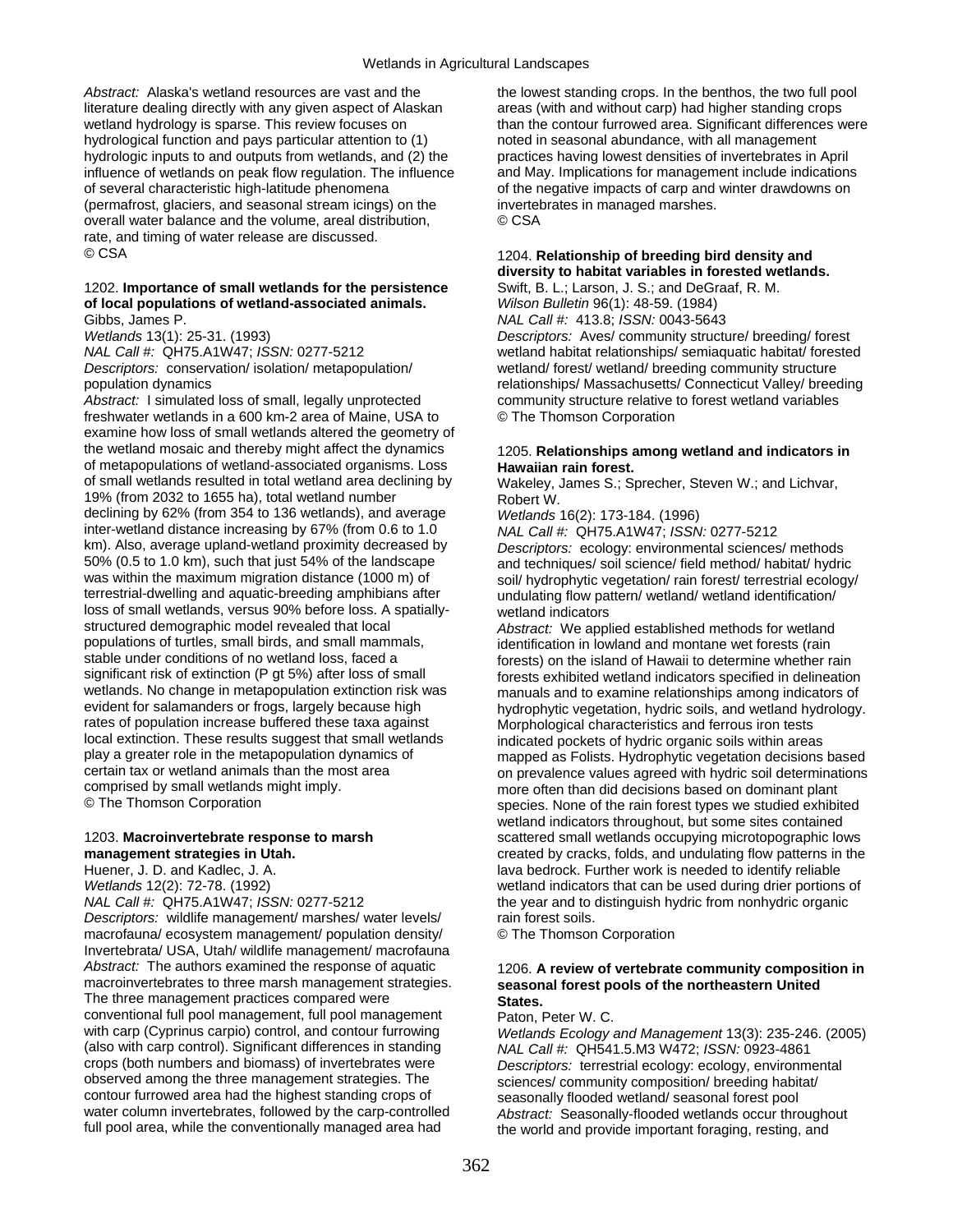*Abstract:* Alaska's wetland resources are vast and the literature dealing directly with any given aspect of Alaskan wetland hydrology is sparse. This review focuses on hydrological function and pays particular attention to (1) hydrologic inputs to and outputs from wetlands, and (2) the influence of wetlands on peak flow regulation. The influence of several characteristic high-latitude phenomena (permafrost, glaciers, and seasonal stream icings) on the overall water balance and the volume, areal distribution, rate, and timing of water release are discussed. © CSA

#### 1202. **Importance of small wetlands for the persistence of local populations of wetland-associated animals.**  Gibbs, James P.

*Wetlands* 13(1): 25-31. (1993) *NAL Call #:* QH75.A1W47; *ISSN:* 0277-5212 *Descriptors:* conservation/ isolation/ metapopulation/ population dynamics

*Abstract:* I simulated loss of small, legally unprotected freshwater wetlands in a 600 km-2 area of Maine, USA to examine how loss of small wetlands altered the geometry of the wetland mosaic and thereby might affect the dynamics of metapopulations of wetland-associated organisms. Loss of small wetlands resulted in total wetland area declining by 19% (from 2032 to 1655 ha), total wetland number declining by 62% (from 354 to 136 wetlands), and average inter-wetland distance increasing by 67% (from 0.6 to 1.0 km). Also, average upland-wetland proximity decreased by 50% (0.5 to 1.0 km), such that just 54% of the landscape was within the maximum migration distance (1000 m) of terrestrial-dwelling and aquatic-breeding amphibians after loss of small wetlands, versus 90% before loss. A spatiallystructured demographic model revealed that local populations of turtles, small birds, and small mammals, stable under conditions of no wetland loss, faced a significant risk of extinction (P gt 5%) after loss of small wetlands. No change in metapopulation extinction risk was evident for salamanders or frogs, largely because high rates of population increase buffered these taxa against local extinction. These results suggest that small wetlands play a greater role in the metapopulation dynamics of certain tax or wetland animals than the most area comprised by small wetlands might imply. © The Thomson Corporation

#### 1203. **Macroinvertebrate response to marsh management strategies in Utah.**

Huener, J. D. and Kadlec, J. A. *Wetlands* 12(2): 72-78. (1992) *NAL Call #:* QH75.A1W47; *ISSN:* 0277-5212 *Descriptors:* wildlife management/ marshes/ water levels/ macrofauna/ ecosystem management/ population density/ Invertebrata/ USA, Utah/ wildlife management/ macrofauna *Abstract:* The authors examined the response of aquatic macroinvertebrates to three marsh management strategies. The three management practices compared were conventional full pool management, full pool management with carp (Cyprinus carpio) control, and contour furrowing (also with carp control). Significant differences in standing crops (both numbers and biomass) of invertebrates were observed among the three management strategies. The contour furrowed area had the highest standing crops of water column invertebrates, followed by the carp-controlled full pool area, while the conventionally managed area had

the lowest standing crops. In the benthos, the two full pool areas (with and without carp) had higher standing crops than the contour furrowed area. Significant differences were noted in seasonal abundance, with all management practices having lowest densities of invertebrates in April and May. Implications for management include indications of the negative impacts of carp and winter drawdowns on invertebrates in managed marshes. © CSA

# 1204. **Relationship of breeding bird density and diversity to habitat variables in forested wetlands.**

Swift, B. L.; Larson, J. S.; and DeGraaf, R. M. *Wilson Bulletin* 96(1): 48-59. (1984) *NAL Call #:* 413.8; *ISSN:* 0043-5643 *Descriptors:* Aves/ community structure/ breeding/ forest wetland habitat relationships/ semiaquatic habitat/ forested wetland/ forest/ wetland/ breeding community structure relationships/ Massachusetts/ Connecticut Valley/ breeding community structure relative to forest wetland variables © The Thomson Corporation

#### 1205. **Relationships among wetland and indicators in Hawaiian rain forest.**

Wakeley, James S.; Sprecher, Steven W.; and Lichvar, Robert W.

*Wetlands* 16(2): 173-184. (1996)

*NAL Call #:* QH75.A1W47; *ISSN:* 0277-5212 *Descriptors:* ecology: environmental sciences/ methods and techniques/ soil science/ field method/ habitat/ hydric soil/ hydrophytic vegetation/ rain forest/ terrestrial ecology/ undulating flow pattern/ wetland/ wetland identification/ wetland indicators

*Abstract:* We applied established methods for wetland identification in lowland and montane wet forests (rain forests) on the island of Hawaii to determine whether rain forests exhibited wetland indicators specified in delineation manuals and to examine relationships among indicators of hydrophytic vegetation, hydric soils, and wetland hydrology. Morphological characteristics and ferrous iron tests indicated pockets of hydric organic soils within areas mapped as Folists. Hydrophytic vegetation decisions based on prevalence values agreed with hydric soil determinations more often than did decisions based on dominant plant species. None of the rain forest types we studied exhibited wetland indicators throughout, but some sites contained scattered small wetlands occupying microtopographic lows created by cracks, folds, and undulating flow patterns in the lava bedrock. Further work is needed to identify reliable wetland indicators that can be used during drier portions of the year and to distinguish hydric from nonhydric organic rain forest soils.

© The Thomson Corporation

#### 1206. **A review of vertebrate community composition in seasonal forest pools of the northeastern United States.**

Paton, Peter W. C.

*Wetlands Ecology and Management* 13(3): 235-246. (2005) *NAL Call #:* QH541.5.M3 W472; *ISSN:* 0923-4861 *Descriptors:* terrestrial ecology: ecology, environmental sciences/ community composition/ breeding habitat/ seasonally flooded wetland/ seasonal forest pool *Abstract:* Seasonally-flooded wetlands occur throughout the world and provide important foraging, resting, and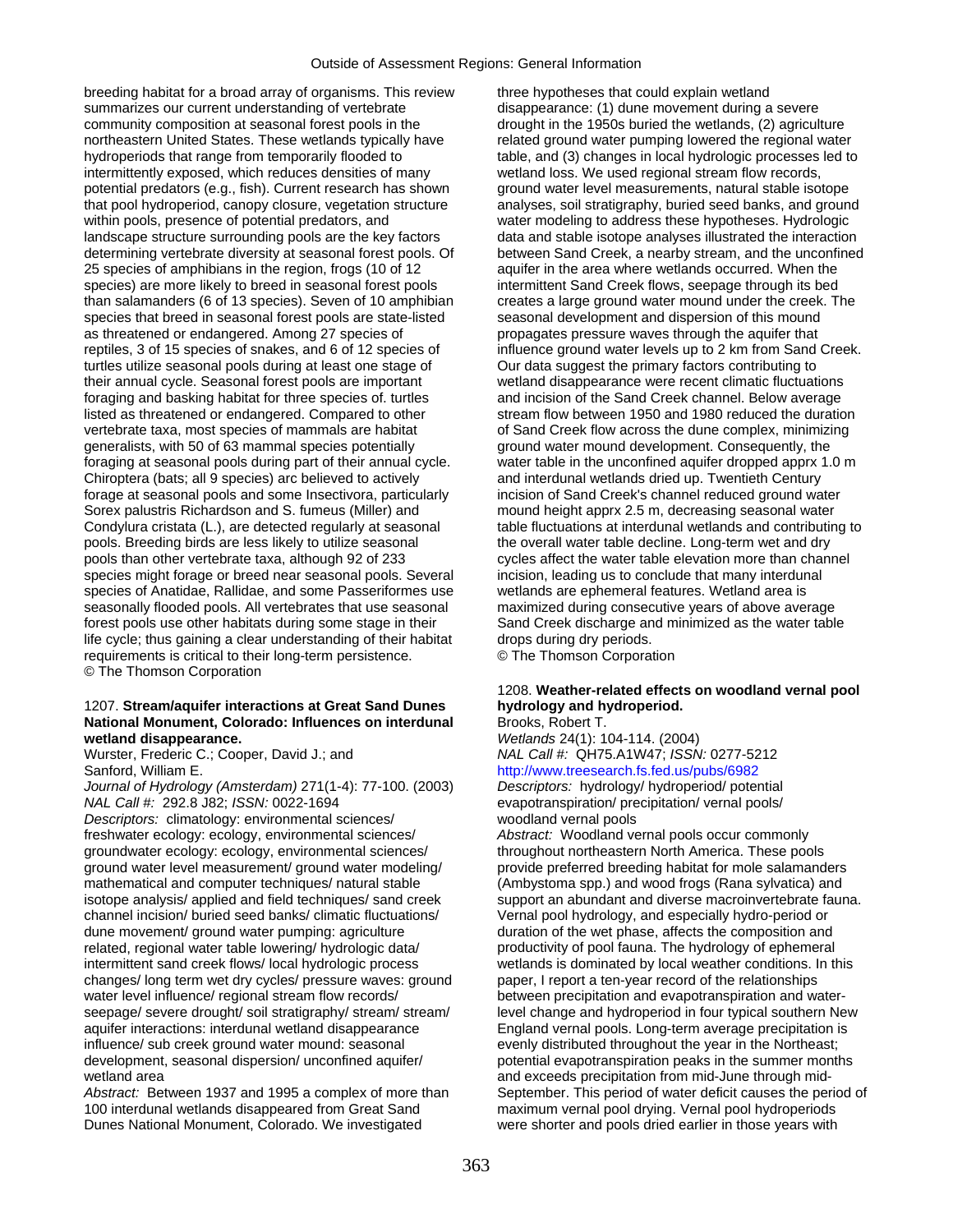breeding habitat for a broad array of organisms. This review summarizes our current understanding of vertebrate community composition at seasonal forest pools in the northeastern United States. These wetlands typically have hydroperiods that range from temporarily flooded to intermittently exposed, which reduces densities of many potential predators (e.g., fish). Current research has shown that pool hydroperiod, canopy closure, vegetation structure within pools, presence of potential predators, and landscape structure surrounding pools are the key factors determining vertebrate diversity at seasonal forest pools. Of 25 species of amphibians in the region, frogs (10 of 12 species) are more likely to breed in seasonal forest pools than salamanders (6 of 13 species). Seven of 10 amphibian species that breed in seasonal forest pools are state-listed as threatened or endangered. Among 27 species of reptiles, 3 of 15 species of snakes, and 6 of 12 species of turtles utilize seasonal pools during at least one stage of their annual cycle. Seasonal forest pools are important foraging and basking habitat for three species of. turtles listed as threatened or endangered. Compared to other vertebrate taxa, most species of mammals are habitat generalists, with 50 of 63 mammal species potentially foraging at seasonal pools during part of their annual cycle. Chiroptera (bats; all 9 species) arc believed to actively forage at seasonal pools and some Insectivora, particularly Sorex palustris Richardson and S. fumeus (Miller) and Condylura cristata (L.), are detected regularly at seasonal pools. Breeding birds are less likely to utilize seasonal pools than other vertebrate taxa, although 92 of 233 species might forage or breed near seasonal pools. Several species of Anatidae, Rallidae, and some Passeriformes use seasonally flooded pools. All vertebrates that use seasonal forest pools use other habitats during some stage in their life cycle; thus gaining a clear understanding of their habitat requirements is critical to their long-term persistence. © The Thomson Corporation

#### 1207. **Stream/aquifer interactions at Great Sand Dunes National Monument, Colorado: Influences on interdunal wetland disappearance.**

Wurster, Frederic C.; Cooper, David J.; and Sanford, William E.

*Journal of Hydrology (Amsterdam)* 271(1-4): 77-100. (2003) *NAL Call #:* 292.8 J82; *ISSN:* 0022-1694

*Descriptors:* climatology: environmental sciences/ freshwater ecology: ecology, environmental sciences/ groundwater ecology: ecology, environmental sciences/ ground water level measurement/ ground water modeling/ mathematical and computer techniques/ natural stable isotope analysis/ applied and field techniques/ sand creek channel incision/ buried seed banks/ climatic fluctuations/ dune movement/ ground water pumping: agriculture related, regional water table lowering/ hydrologic data/ intermittent sand creek flows/ local hydrologic process changes/ long term wet dry cycles/ pressure waves: ground water level influence/ regional stream flow records/ seepage/ severe drought/ soil stratigraphy/ stream/ stream/ aquifer interactions: interdunal wetland disappearance influence/ sub creek ground water mound: seasonal development, seasonal dispersion/ unconfined aquifer/ wetland area

*Abstract:* Between 1937 and 1995 a complex of more than 100 interdunal wetlands disappeared from Great Sand Dunes National Monument, Colorado. We investigated

three hypotheses that could explain wetland disappearance: (1) dune movement during a severe drought in the 1950s buried the wetlands, (2) agriculture related ground water pumping lowered the regional water table, and (3) changes in local hydrologic processes led to wetland loss. We used regional stream flow records, ground water level measurements, natural stable isotope analyses, soil stratigraphy, buried seed banks, and ground water modeling to address these hypotheses. Hydrologic data and stable isotope analyses illustrated the interaction between Sand Creek, a nearby stream, and the unconfined aquifer in the area where wetlands occurred. When the intermittent Sand Creek flows, seepage through its bed creates a large ground water mound under the creek. The seasonal development and dispersion of this mound propagates pressure waves through the aquifer that influence ground water levels up to 2 km from Sand Creek. Our data suggest the primary factors contributing to wetland disappearance were recent climatic fluctuations and incision of the Sand Creek channel. Below average stream flow between 1950 and 1980 reduced the duration of Sand Creek flow across the dune complex, minimizing ground water mound development. Consequently, the water table in the unconfined aquifer dropped apprx 1.0 m and interdunal wetlands dried up. Twentieth Century incision of Sand Creek's channel reduced ground water mound height apprx 2.5 m, decreasing seasonal water table fluctuations at interdunal wetlands and contributing to the overall water table decline. Long-term wet and dry cycles affect the water table elevation more than channel incision, leading us to conclude that many interdunal wetlands are ephemeral features. Wetland area is maximized during consecutive years of above average Sand Creek discharge and minimized as the water table drops during dry periods.

© The Thomson Corporation

# 1208. **Weather-related effects on woodland vernal pool hydrology and hydroperiod.**

Brooks, Robert T. *Wetlands* 24(1): 104-114. (2004) *NAL Call #:* QH75.A1W47; *ISSN:* 0277-5212 <http://www.treesearch.fs.fed.us/pubs/6982>

*Descriptors:* hydrology/ hydroperiod/ potential evapotranspiration/ precipitation/ vernal pools/ woodland vernal pools

*Abstract:* Woodland vernal pools occur commonly throughout northeastern North America. These pools provide preferred breeding habitat for mole salamanders (Ambystoma spp.) and wood frogs (Rana sylvatica) and support an abundant and diverse macroinvertebrate fauna. Vernal pool hydrology, and especially hydro-period or duration of the wet phase, affects the composition and productivity of pool fauna. The hydrology of ephemeral wetlands is dominated by local weather conditions. In this paper, I report a ten-year record of the relationships between precipitation and evapotranspiration and waterlevel change and hydroperiod in four typical southern New England vernal pools. Long-term average precipitation is evenly distributed throughout the year in the Northeast; potential evapotranspiration peaks in the summer months and exceeds precipitation from mid-June through mid-September. This period of water deficit causes the period of maximum vernal pool drying. Vernal pool hydroperiods were shorter and pools dried earlier in those years with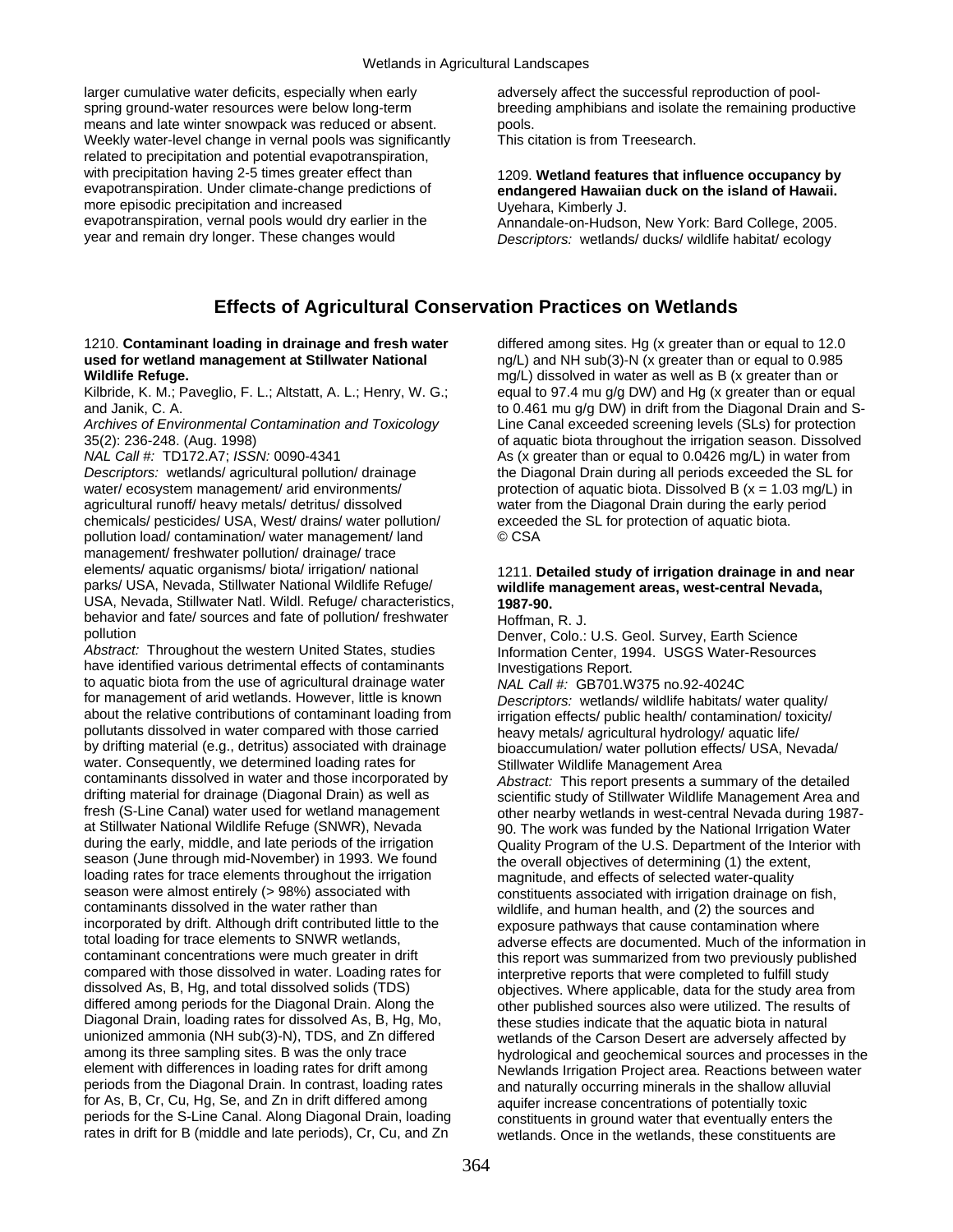larger cumulative water deficits, especially when early spring ground-water resources were below long-term means and late winter snowpack was reduced or absent. Weekly water-level change in vernal pools was significantly related to precipitation and potential evapotranspiration, with precipitation having 2-5 times greater effect than evapotranspiration. Under climate-change predictions of more episodic precipitation and increased evapotranspiration, vernal pools would dry earlier in the year and remain dry longer. These changes would

adversely affect the successful reproduction of poolbreeding amphibians and isolate the remaining productive pools.

This citation is from Treesearch.

#### 1209. **Wetland features that influence occupancy by endangered Hawaiian duck on the island of Hawaii.**  Uyehara, Kimberly J.

Annandale-on-Hudson, New York: Bard College, 2005. *Descriptors:* wetlands/ ducks/ wildlife habitat/ ecology

# **Effects of Agricultural Conservation Practices on Wetlands**

#### 1210. **Contaminant loading in drainage and fresh water used for wetland management at Stillwater National Wildlife Refuge.**

Kilbride, K. M.; Paveglio, F. L.; Altstatt, A. L.; Henry, W. G.; and Janik, C. A.

*Archives of Environmental Contamination and Toxicology* 35(2): 236-248. (Aug. 1998)

*NAL Call #:* TD172.A7; *ISSN:* 0090-4341

*Descriptors:* wetlands/ agricultural pollution/ drainage water/ ecosystem management/ arid environments/ agricultural runoff/ heavy metals/ detritus/ dissolved chemicals/ pesticides/ USA, West/ drains/ water pollution/ pollution load/ contamination/ water management/ land management/ freshwater pollution/ drainage/ trace elements/ aquatic organisms/ biota/ irrigation/ national parks/ USA, Nevada, Stillwater National Wildlife Refuge/ USA, Nevada, Stillwater Natl. Wildl. Refuge/ characteristics, behavior and fate/ sources and fate of pollution/ freshwater pollution

*Abstract:* Throughout the western United States, studies have identified various detrimental effects of contaminants to aquatic biota from the use of agricultural drainage water for management of arid wetlands. However, little is known about the relative contributions of contaminant loading from pollutants dissolved in water compared with those carried by drifting material (e.g., detritus) associated with drainage water. Consequently, we determined loading rates for contaminants dissolved in water and those incorporated by drifting material for drainage (Diagonal Drain) as well as fresh (S-Line Canal) water used for wetland management at Stillwater National Wildlife Refuge (SNWR), Nevada during the early, middle, and late periods of the irrigation season (June through mid-November) in 1993. We found loading rates for trace elements throughout the irrigation season were almost entirely (> 98%) associated with contaminants dissolved in the water rather than incorporated by drift. Although drift contributed little to the total loading for trace elements to SNWR wetlands, contaminant concentrations were much greater in drift compared with those dissolved in water. Loading rates for dissolved As, B, Hg, and total dissolved solids (TDS) differed among periods for the Diagonal Drain. Along the Diagonal Drain, loading rates for dissolved As, B, Hg, Mo, unionized ammonia (NH sub(3)-N), TDS, and Zn differed among its three sampling sites. B was the only trace element with differences in loading rates for drift among periods from the Diagonal Drain. In contrast, loading rates for As, B, Cr, Cu, Hg, Se, and Zn in drift differed among periods for the S-Line Canal. Along Diagonal Drain, loading rates in drift for B (middle and late periods), Cr, Cu, and Zn

differed among sites. Hg (x greater than or equal to 12.0 ng/L) and NH sub(3)-N (x greater than or equal to 0.985 mg/L) dissolved in water as well as B (x greater than or equal to 97.4 mu g/g DW) and Hg (x greater than or equal to 0.461 mu g/g DW) in drift from the Diagonal Drain and S-Line Canal exceeded screening levels (SLs) for protection of aquatic biota throughout the irrigation season. Dissolved As (x greater than or equal to 0.0426 mg/L) in water from the Diagonal Drain during all periods exceeded the SL for protection of aquatic biota. Dissolved B  $(x = 1.03$  mg/L) in water from the Diagonal Drain during the early period exceeded the SL for protection of aquatic biota. © CSA

#### 1211. **Detailed study of irrigation drainage in and near wildlife management areas, west-central Nevada, 1987-90.**

Hoffman, R. J.

Denver, Colo.: U.S. Geol. Survey, Earth Science Information Center, 1994. USGS Water-Resources Investigations Report.

*NAL Call #:* GB701.W375 no.92-4024C *Descriptors:* wetlands/ wildlife habitats/ water quality/ irrigation effects/ public health/ contamination/ toxicity/ heavy metals/ agricultural hydrology/ aquatic life/ bioaccumulation/ water pollution effects/ USA, Nevada/ Stillwater Wildlife Management Area

*Abstract:* This report presents a summary of the detailed scientific study of Stillwater Wildlife Management Area and other nearby wetlands in west-central Nevada during 1987- 90. The work was funded by the National Irrigation Water Quality Program of the U.S. Department of the Interior with the overall objectives of determining (1) the extent, magnitude, and effects of selected water-quality constituents associated with irrigation drainage on fish, wildlife, and human health, and (2) the sources and exposure pathways that cause contamination where adverse effects are documented. Much of the information in this report was summarized from two previously published interpretive reports that were completed to fulfill study objectives. Where applicable, data for the study area from other published sources also were utilized. The results of these studies indicate that the aquatic biota in natural wetlands of the Carson Desert are adversely affected by hydrological and geochemical sources and processes in the Newlands Irrigation Project area. Reactions between water and naturally occurring minerals in the shallow alluvial aquifer increase concentrations of potentially toxic constituents in ground water that eventually enters the wetlands. Once in the wetlands, these constituents are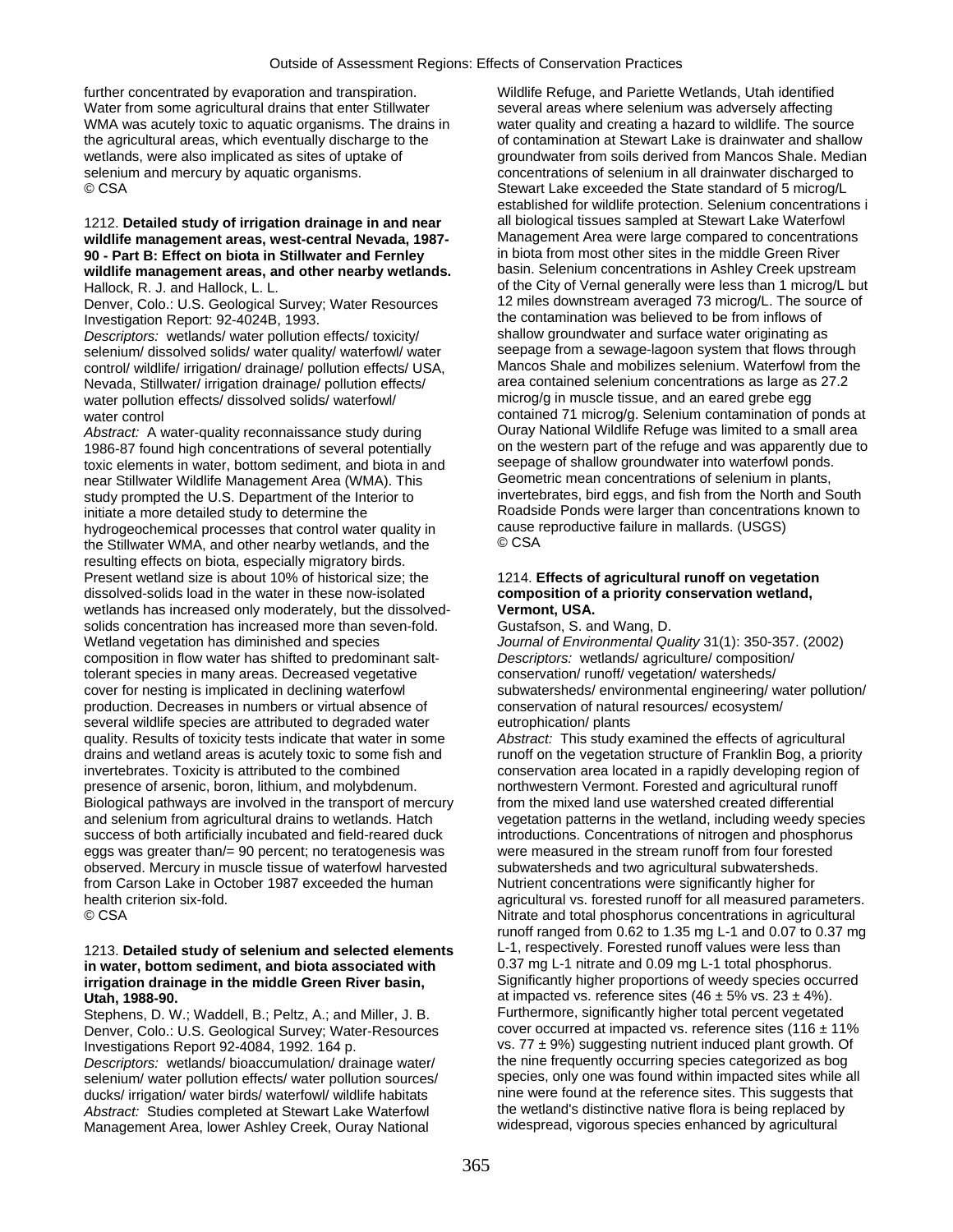further concentrated by evaporation and transpiration. Water from some agricultural drains that enter Stillwater WMA was acutely toxic to aquatic organisms. The drains in the agricultural areas, which eventually discharge to the wetlands, were also implicated as sites of uptake of selenium and mercury by aquatic organisms. © CSA

#### 1212. **Detailed study of irrigation drainage in and near wildlife management areas, west-central Nevada, 1987- 90 - Part B: Effect on biota in Stillwater and Fernley wildlife management areas, and other nearby wetlands.**  Hallock, R. J. and Hallock, L. L.

Denver, Colo.: U.S. Geological Survey; Water Resources Investigation Report: 92-4024B, 1993.

*Descriptors:* wetlands/ water pollution effects/ toxicity/ selenium/ dissolved solids/ water quality/ waterfowl/ water control/ wildlife/ irrigation/ drainage/ pollution effects/ USA, Nevada, Stillwater/ irrigation drainage/ pollution effects/ water pollution effects/ dissolved solids/ waterfowl/ water control

*Abstract:* A water-quality reconnaissance study during 1986-87 found high concentrations of several potentially toxic elements in water, bottom sediment, and biota in and near Stillwater Wildlife Management Area (WMA). This study prompted the U.S. Department of the Interior to initiate a more detailed study to determine the hydrogeochemical processes that control water quality in the Stillwater WMA, and other nearby wetlands, and the resulting effects on biota, especially migratory birds. Present wetland size is about 10% of historical size; the dissolved-solids load in the water in these now-isolated wetlands has increased only moderately, but the dissolvedsolids concentration has increased more than seven-fold. Wetland vegetation has diminished and species composition in flow water has shifted to predominant salttolerant species in many areas. Decreased vegetative cover for nesting is implicated in declining waterfowl production. Decreases in numbers or virtual absence of several wildlife species are attributed to degraded water quality. Results of toxicity tests indicate that water in some drains and wetland areas is acutely toxic to some fish and invertebrates. Toxicity is attributed to the combined presence of arsenic, boron, lithium, and molybdenum. Biological pathways are involved in the transport of mercury and selenium from agricultural drains to wetlands. Hatch success of both artificially incubated and field-reared duck eggs was greater than/= 90 percent; no teratogenesis was observed. Mercury in muscle tissue of waterfowl harvested from Carson Lake in October 1987 exceeded the human health criterion six-fold. © CSA

#### 1213. **Detailed study of selenium and selected elements in water, bottom sediment, and biota associated with irrigation drainage in the middle Green River basin, Utah, 1988-90.**

Stephens, D. W.; Waddell, B.; Peltz, A.; and Miller, J. B. Denver, Colo.: U.S. Geological Survey; Water-Resources Investigations Report 92-4084, 1992. 164 p. *Descriptors:* wetlands/ bioaccumulation/ drainage water/ selenium/ water pollution effects/ water pollution sources/ ducks/ irrigation/ water birds/ waterfowl/ wildlife habitats *Abstract:* Studies completed at Stewart Lake Waterfowl Management Area, lower Ashley Creek, Ouray National

Wildlife Refuge, and Pariette Wetlands, Utah identified several areas where selenium was adversely affecting water quality and creating a hazard to wildlife. The source of contamination at Stewart Lake is drainwater and shallow groundwater from soils derived from Mancos Shale. Median concentrations of selenium in all drainwater discharged to Stewart Lake exceeded the State standard of 5 microg/L established for wildlife protection. Selenium concentrations i all biological tissues sampled at Stewart Lake Waterfowl Management Area were large compared to concentrations in biota from most other sites in the middle Green River basin. Selenium concentrations in Ashley Creek upstream of the City of Vernal generally were less than 1 microg/L but 12 miles downstream averaged 73 microg/L. The source of the contamination was believed to be from inflows of shallow groundwater and surface water originating as seepage from a sewage-lagoon system that flows through Mancos Shale and mobilizes selenium. Waterfowl from the area contained selenium concentrations as large as 27.2 microg/g in muscle tissue, and an eared grebe egg contained 71 microg/g. Selenium contamination of ponds at Ouray National Wildlife Refuge was limited to a small area on the western part of the refuge and was apparently due to seepage of shallow groundwater into waterfowl ponds. Geometric mean concentrations of selenium in plants, invertebrates, bird eggs, and fish from the North and South Roadside Ponds were larger than concentrations known to cause reproductive failure in mallards. (USGS) © CSA

### 1214. **Effects of agricultural runoff on vegetation composition of a priority conservation wetland, Vermont, USA.**

Gustafson, S. and Wang, D.

*Journal of Environmental Quality* 31(1): 350-357. (2002) *Descriptors:* wetlands/ agriculture/ composition/ conservation/ runoff/ vegetation/ watersheds/ subwatersheds/ environmental engineering/ water pollution/ conservation of natural resources/ ecosystem/ eutrophication/ plants

*Abstract:* This study examined the effects of agricultural runoff on the vegetation structure of Franklin Bog, a priority conservation area located in a rapidly developing region of northwestern Vermont. Forested and agricultural runoff from the mixed land use watershed created differential vegetation patterns in the wetland, including weedy species introductions. Concentrations of nitrogen and phosphorus were measured in the stream runoff from four forested subwatersheds and two agricultural subwatersheds. Nutrient concentrations were significantly higher for agricultural vs. forested runoff for all measured parameters. Nitrate and total phosphorus concentrations in agricultural runoff ranged from 0.62 to 1.35 mg L-1 and 0.07 to 0.37 mg L-1, respectively. Forested runoff values were less than 0.37 mg L-1 nitrate and 0.09 mg L-1 total phosphorus. Significantly higher proportions of weedy species occurred at impacted vs. reference sites  $(46 \pm 5\% \text{ vs. } 23 \pm 4\%)$ . Furthermore, significantly higher total percent vegetated cover occurred at impacted vs. reference sites (116  $\pm$  11% vs.  $77 \pm 9\%$ ) suggesting nutrient induced plant growth. Of the nine frequently occurring species categorized as bog species, only one was found within impacted sites while all nine were found at the reference sites. This suggests that the wetland's distinctive native flora is being replaced by widespread, vigorous species enhanced by agricultural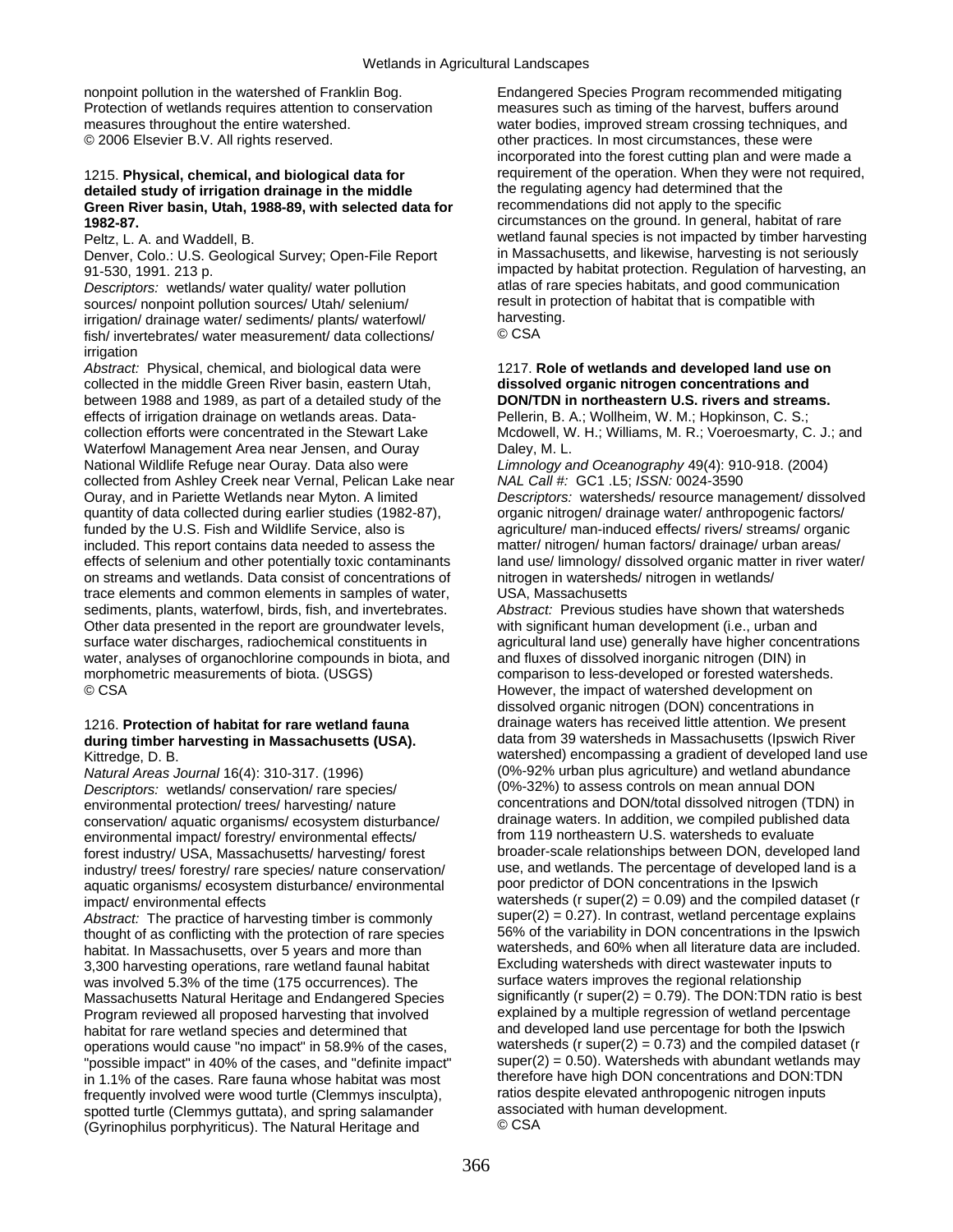nonpoint pollution in the watershed of Franklin Bog. Protection of wetlands requires attention to conservation measures throughout the entire watershed. © 2006 Elsevier B.V. All rights reserved.

## 1215. **Physical, chemical, and biological data for detailed study of irrigation drainage in the middle Green River basin, Utah, 1988-89, with selected data for 1982-87.**

Peltz, L. A. and Waddell, B.

Denver, Colo.: U.S. Geological Survey; Open-File Report 91-530, 1991. 213 p.

*Descriptors:* wetlands/ water quality/ water pollution sources/ nonpoint pollution sources/ Utah/ selenium/ irrigation/ drainage water/ sediments/ plants/ waterfowl/ fish/ invertebrates/ water measurement/ data collections/ irrigation

*Abstract:* Physical, chemical, and biological data were collected in the middle Green River basin, eastern Utah, between 1988 and 1989, as part of a detailed study of the effects of irrigation drainage on wetlands areas. Datacollection efforts were concentrated in the Stewart Lake Waterfowl Management Area near Jensen, and Ouray National Wildlife Refuge near Ouray. Data also were collected from Ashley Creek near Vernal, Pelican Lake near Ouray, and in Pariette Wetlands near Myton. A limited quantity of data collected during earlier studies (1982-87), funded by the U.S. Fish and Wildlife Service, also is included. This report contains data needed to assess the effects of selenium and other potentially toxic contaminants on streams and wetlands. Data consist of concentrations of trace elements and common elements in samples of water, sediments, plants, waterfowl, birds, fish, and invertebrates. Other data presented in the report are groundwater levels, surface water discharges, radiochemical constituents in water, analyses of organochlorine compounds in biota, and morphometric measurements of biota. (USGS) © CSA

#### 1216. **Protection of habitat for rare wetland fauna during timber harvesting in Massachusetts (USA).**  Kittredge, D. B.

*Natural Areas Journal* 16(4): 310-317. (1996) *Descriptors:* wetlands/ conservation/ rare species/ environmental protection/ trees/ harvesting/ nature conservation/ aquatic organisms/ ecosystem disturbance/ environmental impact/ forestry/ environmental effects/ forest industry/ USA, Massachusetts/ harvesting/ forest industry/ trees/ forestry/ rare species/ nature conservation/ aquatic organisms/ ecosystem disturbance/ environmental impact/ environmental effects

*Abstract:* The practice of harvesting timber is commonly thought of as conflicting with the protection of rare species habitat. In Massachusetts, over 5 years and more than 3,300 harvesting operations, rare wetland faunal habitat was involved 5.3% of the time (175 occurrences). The Massachusetts Natural Heritage and Endangered Species Program reviewed all proposed harvesting that involved habitat for rare wetland species and determined that operations would cause "no impact" in 58.9% of the cases, "possible impact" in 40% of the cases, and "definite impact" in 1.1% of the cases. Rare fauna whose habitat was most frequently involved were wood turtle (Clemmys insculpta), spotted turtle (Clemmys guttata), and spring salamander (Gyrinophilus porphyriticus). The Natural Heritage and

Endangered Species Program recommended mitigating measures such as timing of the harvest, buffers around water bodies, improved stream crossing techniques, and other practices. In most circumstances, these were incorporated into the forest cutting plan and were made a requirement of the operation. When they were not required, the regulating agency had determined that the recommendations did not apply to the specific circumstances on the ground. In general, habitat of rare wetland faunal species is not impacted by timber harvesting in Massachusetts, and likewise, harvesting is not seriously impacted by habitat protection. Regulation of harvesting, an atlas of rare species habitats, and good communication result in protection of habitat that is compatible with harvesting.

© CSA

# 1217. **Role of wetlands and developed land use on dissolved organic nitrogen concentrations and DON/TDN in northeastern U.S. rivers and streams.**

Pellerin, B. A.; Wollheim, W. M.; Hopkinson, C. S.; Mcdowell, W. H.; Williams, M. R.; Voeroesmarty, C. J.; and Daley, M. L.

*Limnology and Oceanography* 49(4): 910-918. (2004) *NAL Call #:* GC1 .L5; *ISSN:* 0024-3590

*Descriptors:* watersheds/ resource management/ dissolved organic nitrogen/ drainage water/ anthropogenic factors/ agriculture/ man-induced effects/ rivers/ streams/ organic matter/ nitrogen/ human factors/ drainage/ urban areas/ land use/ limnology/ dissolved organic matter in river water/ nitrogen in watersheds/ nitrogen in wetlands/ USA, Massachusetts

*Abstract:* Previous studies have shown that watersheds with significant human development (i.e., urban and agricultural land use) generally have higher concentrations and fluxes of dissolved inorganic nitrogen (DIN) in comparison to less-developed or forested watersheds. However, the impact of watershed development on dissolved organic nitrogen (DON) concentrations in drainage waters has received little attention. We present data from 39 watersheds in Massachusetts (Ipswich River watershed) encompassing a gradient of developed land use (0%-92% urban plus agriculture) and wetland abundance (0%-32%) to assess controls on mean annual DON concentrations and DON/total dissolved nitrogen (TDN) in drainage waters. In addition, we compiled published data from 119 northeastern U.S. watersheds to evaluate broader-scale relationships between DON, developed land use, and wetlands. The percentage of developed land is a poor predictor of DON concentrations in the Ipswich watersheds ( $r$  super( $2$ ) = 0.09) and the compiled dataset ( $r$  $super(2) = 0.27$ . In contrast, wetland percentage explains 56% of the variability in DON concentrations in the Ipswich watersheds, and 60% when all literature data are included. Excluding watersheds with direct wastewater inputs to surface waters improves the regional relationship significantly ( $r$  super( $2$ ) = 0.79). The DON:TDN ratio is best explained by a multiple regression of wetland percentage and developed land use percentage for both the Ipswich watersheds ( $r$  super( $2$ ) = 0.73) and the compiled dataset ( $r$  $super(2) = 0.50$ . Watersheds with abundant wetlands may therefore have high DON concentrations and DON:TDN ratios despite elevated anthropogenic nitrogen inputs associated with human development. © CSA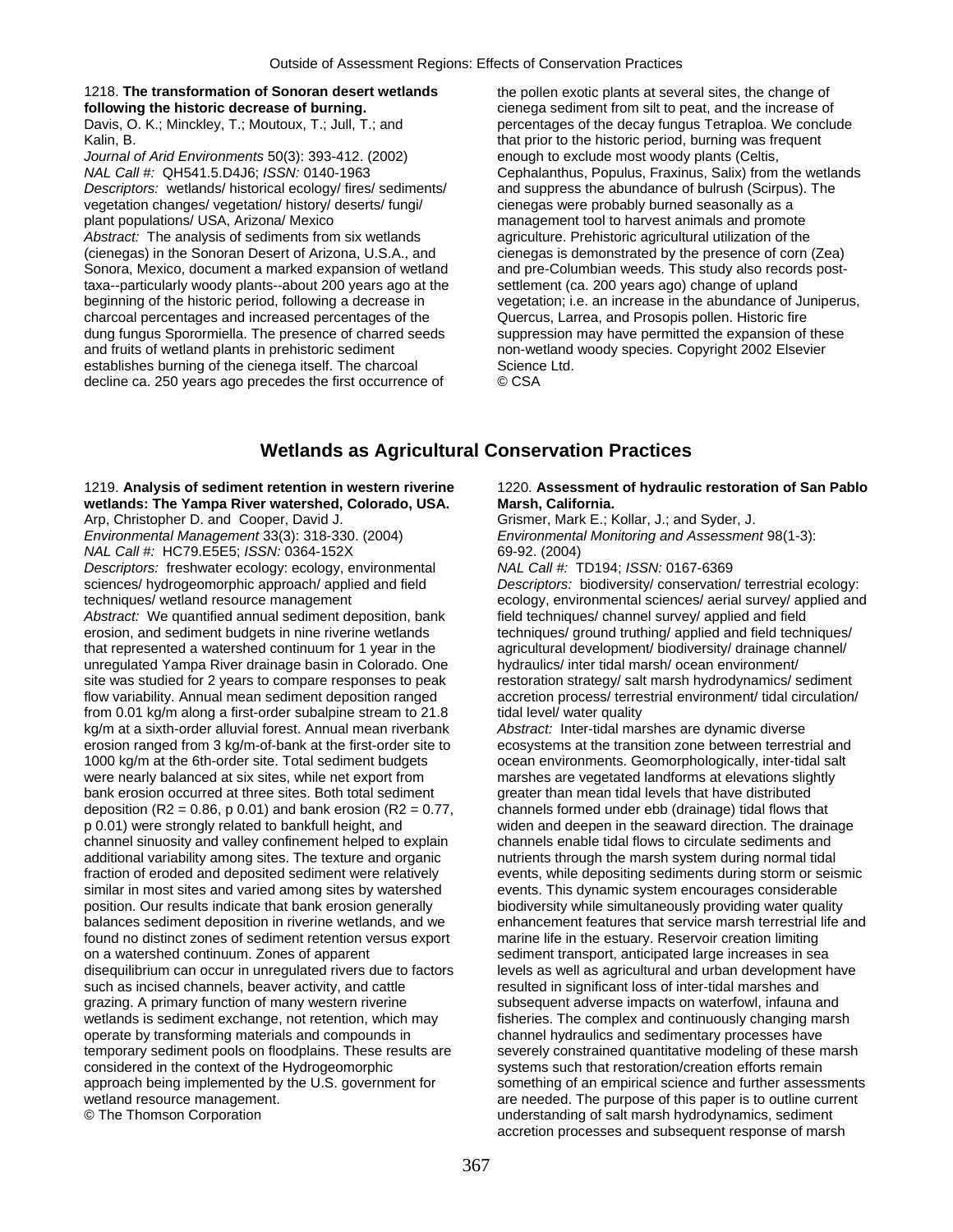#### 1218. **The transformation of Sonoran desert wetlands following the historic decrease of burning.**

Davis, O. K.; Minckley, T.; Moutoux, T.; Jull, T.; and Kalin, B.

*Journal of Arid Environments* 50(3): 393-412. (2002) *NAL Call #:* QH541.5.D4J6; *ISSN:* 0140-1963 *Descriptors:* wetlands/ historical ecology/ fires/ sediments/ vegetation changes/ vegetation/ history/ deserts/ fungi/ plant populations/ USA, Arizona/ Mexico *Abstract:* The analysis of sediments from six wetlands (cienegas) in the Sonoran Desert of Arizona, U.S.A., and Sonora, Mexico, document a marked expansion of wetland taxa--particularly woody plants--about 200 years ago at the beginning of the historic period, following a decrease in charcoal percentages and increased percentages of the dung fungus Sporormiella. The presence of charred seeds and fruits of wetland plants in prehistoric sediment establishes burning of the cienega itself. The charcoal decline ca. 250 years ago precedes the first occurrence of

the pollen exotic plants at several sites, the change of cienega sediment from silt to peat, and the increase of percentages of the decay fungus Tetraploa. We conclude that prior to the historic period, burning was frequent enough to exclude most woody plants (Celtis, Cephalanthus, Populus, Fraxinus, Salix) from the wetlands and suppress the abundance of bulrush (Scirpus). The cienegas were probably burned seasonally as a management tool to harvest animals and promote agriculture. Prehistoric agricultural utilization of the cienegas is demonstrated by the presence of corn (Zea) and pre-Columbian weeds. This study also records postsettlement (ca. 200 years ago) change of upland vegetation; i.e. an increase in the abundance of Juniperus, Quercus, Larrea, and Prosopis pollen. Historic fire suppression may have permitted the expansion of these non-wetland woody species. Copyright 2002 Elsevier Science Ltd. © CSA

# **Wetlands as Agricultural Conservation Practices**

1219. **Analysis of sediment retention in western riverine wetlands: The Yampa River watershed, Colorado, USA.**  Arp, Christopher D. and Cooper, David J.

*Environmental Management* 33(3): 318-330. (2004) *NAL Call #:* HC79.E5E5; *ISSN:* 0364-152X *Descriptors:* freshwater ecology: ecology, environmental sciences/ hydrogeomorphic approach/ applied and field techniques/ wetland resource management *Abstract:* We quantified annual sediment deposition, bank erosion, and sediment budgets in nine riverine wetlands that represented a watershed continuum for 1 year in the unregulated Yampa River drainage basin in Colorado. One site was studied for 2 years to compare responses to peak flow variability. Annual mean sediment deposition ranged from 0.01 kg/m along a first-order subalpine stream to 21.8 kg/m at a sixth-order alluvial forest. Annual mean riverbank erosion ranged from 3 kg/m-of-bank at the first-order site to 1000 kg/m at the 6th-order site. Total sediment budgets were nearly balanced at six sites, while net export from bank erosion occurred at three sites. Both total sediment deposition (R2 = 0.86, p 0.01) and bank erosion (R2 = 0.77, p 0.01) were strongly related to bankfull height, and channel sinuosity and valley confinement helped to explain additional variability among sites. The texture and organic fraction of eroded and deposited sediment were relatively similar in most sites and varied among sites by watershed position. Our results indicate that bank erosion generally balances sediment deposition in riverine wetlands, and we found no distinct zones of sediment retention versus export on a watershed continuum. Zones of apparent disequilibrium can occur in unregulated rivers due to factors such as incised channels, beaver activity, and cattle grazing. A primary function of many western riverine wetlands is sediment exchange, not retention, which may operate by transforming materials and compounds in temporary sediment pools on floodplains. These results are considered in the context of the Hydrogeomorphic approach being implemented by the U.S. government for wetland resource management. © The Thomson Corporation

#### 1220. **Assessment of hydraulic restoration of San Pablo Marsh, California.**

Grismer, Mark E.; Kollar, J.; and Syder, J. *Environmental Monitoring and Assessment* 98(1-3): 69-92. (2004)

*NAL Call #:* TD194; *ISSN:* 0167-6369

*Descriptors:* biodiversity/ conservation/ terrestrial ecology: ecology, environmental sciences/ aerial survey/ applied and field techniques/ channel survey/ applied and field techniques/ ground truthing/ applied and field techniques/ agricultural development/ biodiversity/ drainage channel/ hydraulics/ inter tidal marsh/ ocean environment/ restoration strategy/ salt marsh hydrodynamics/ sediment accretion process/ terrestrial environment/ tidal circulation/ tidal level/ water quality

*Abstract:* Inter-tidal marshes are dynamic diverse ecosystems at the transition zone between terrestrial and ocean environments. Geomorphologically, inter-tidal salt marshes are vegetated landforms at elevations slightly greater than mean tidal levels that have distributed channels formed under ebb (drainage) tidal flows that widen and deepen in the seaward direction. The drainage channels enable tidal flows to circulate sediments and nutrients through the marsh system during normal tidal events, while depositing sediments during storm or seismic events. This dynamic system encourages considerable biodiversity while simultaneously providing water quality enhancement features that service marsh terrestrial life and marine life in the estuary. Reservoir creation limiting sediment transport, anticipated large increases in sea levels as well as agricultural and urban development have resulted in significant loss of inter-tidal marshes and subsequent adverse impacts on waterfowl, infauna and fisheries. The complex and continuously changing marsh channel hydraulics and sedimentary processes have severely constrained quantitative modeling of these marsh systems such that restoration/creation efforts remain something of an empirical science and further assessments are needed. The purpose of this paper is to outline current understanding of salt marsh hydrodynamics, sediment accretion processes and subsequent response of marsh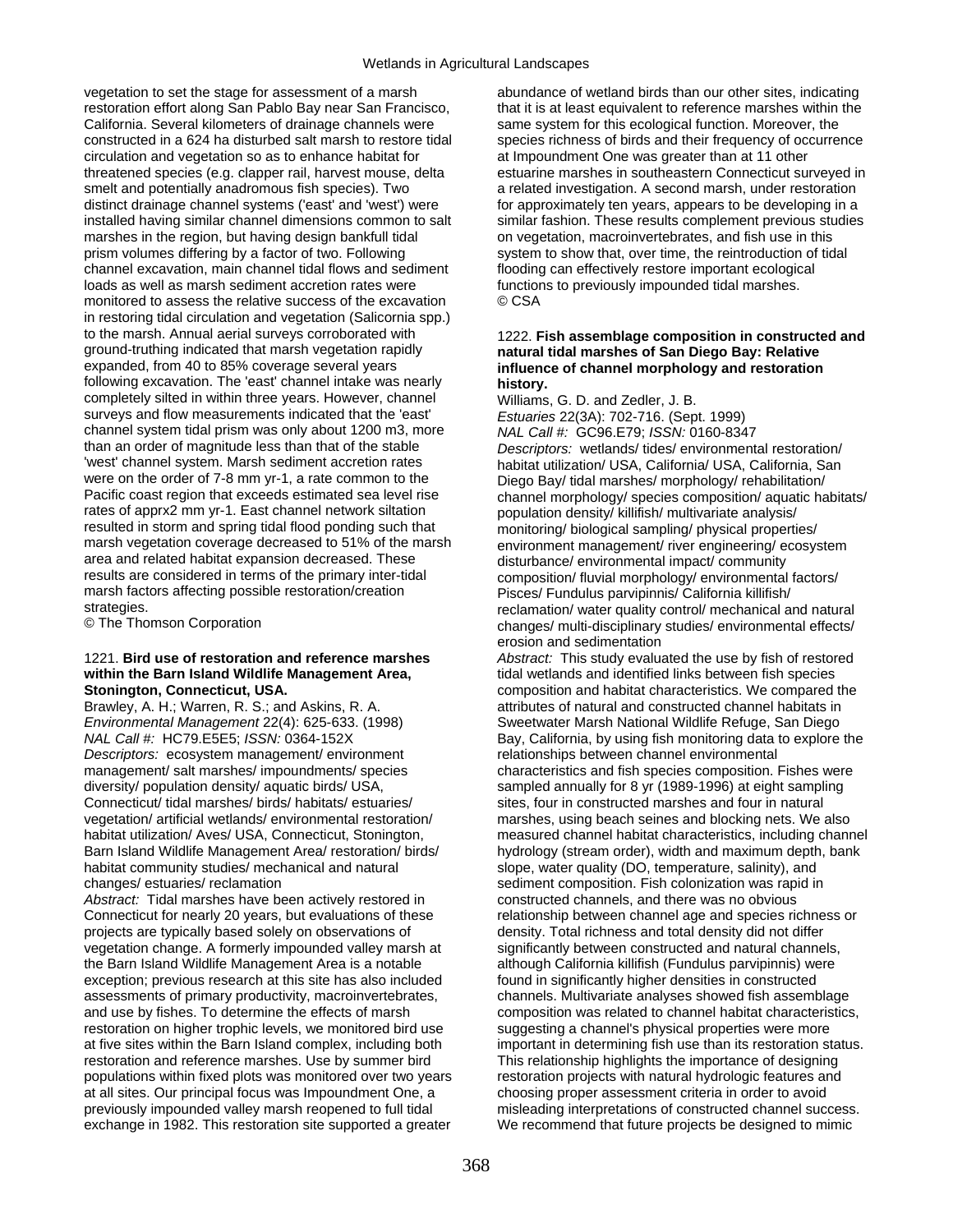vegetation to set the stage for assessment of a marsh restoration effort along San Pablo Bay near San Francisco, California. Several kilometers of drainage channels were constructed in a 624 ha disturbed salt marsh to restore tidal circulation and vegetation so as to enhance habitat for threatened species (e.g. clapper rail, harvest mouse, delta smelt and potentially anadromous fish species). Two distinct drainage channel systems ('east' and 'west') were installed having similar channel dimensions common to salt marshes in the region, but having design bankfull tidal prism volumes differing by a factor of two. Following channel excavation, main channel tidal flows and sediment loads as well as marsh sediment accretion rates were monitored to assess the relative success of the excavation in restoring tidal circulation and vegetation (Salicornia spp.) to the marsh. Annual aerial surveys corroborated with ground-truthing indicated that marsh vegetation rapidly expanded, from 40 to 85% coverage several years following excavation. The 'east' channel intake was nearly completely silted in within three years. However, channel surveys and flow measurements indicated that the 'east' channel system tidal prism was only about 1200 m3, more than an order of magnitude less than that of the stable 'west' channel system. Marsh sediment accretion rates were on the order of 7-8 mm yr-1, a rate common to the Pacific coast region that exceeds estimated sea level rise rates of apprx2 mm yr-1. East channel network siltation resulted in storm and spring tidal flood ponding such that marsh vegetation coverage decreased to 51% of the marsh area and related habitat expansion decreased. These results are considered in terms of the primary inter-tidal marsh factors affecting possible restoration/creation strategies.

© The Thomson Corporation

## 1221. **Bird use of restoration and reference marshes within the Barn Island Wildlife Management Area, Stonington, Connecticut, USA.**

Brawley, A. H.; Warren, R. S.; and Askins, R. A. *Environmental Management* 22(4): 625-633. (1998) *NAL Call #:* HC79.E5E5; *ISSN:* 0364-152X *Descriptors:* ecosystem management/ environment management/ salt marshes/ impoundments/ species diversity/ population density/ aquatic birds/ USA, Connecticut/ tidal marshes/ birds/ habitats/ estuaries/ vegetation/ artificial wetlands/ environmental restoration/ habitat utilization/ Aves/ USA, Connecticut, Stonington, Barn Island Wildlife Management Area/ restoration/ birds/ habitat community studies/ mechanical and natural changes/ estuaries/ reclamation

*Abstract:* Tidal marshes have been actively restored in Connecticut for nearly 20 years, but evaluations of these projects are typically based solely on observations of vegetation change. A formerly impounded valley marsh at the Barn Island Wildlife Management Area is a notable exception; previous research at this site has also included assessments of primary productivity, macroinvertebrates, and use by fishes. To determine the effects of marsh restoration on higher trophic levels, we monitored bird use at five sites within the Barn Island complex, including both restoration and reference marshes. Use by summer bird populations within fixed plots was monitored over two years at all sites. Our principal focus was Impoundment One, a previously impounded valley marsh reopened to full tidal exchange in 1982. This restoration site supported a greater

abundance of wetland birds than our other sites, indicating that it is at least equivalent to reference marshes within the same system for this ecological function. Moreover, the species richness of birds and their frequency of occurrence at Impoundment One was greater than at 11 other estuarine marshes in southeastern Connecticut surveyed in a related investigation. A second marsh, under restoration for approximately ten years, appears to be developing in a similar fashion. These results complement previous studies on vegetation, macroinvertebrates, and fish use in this system to show that, over time, the reintroduction of tidal flooding can effectively restore important ecological functions to previously impounded tidal marshes. © CSA

### 1222. **Fish assemblage composition in constructed and natural tidal marshes of San Diego Bay: Relative influence of channel morphology and restoration history.**

Williams, G. D. and Zedler, J. B. *Estuaries* 22(3A): 702-716. (Sept. 1999) *NAL Call #:* GC96.E79; *ISSN:* 0160-8347 *Descriptors:* wetlands/ tides/ environmental restoration/ habitat utilization/ USA, California/ USA, California, San Diego Bay/ tidal marshes/ morphology/ rehabilitation/ channel morphology/ species composition/ aquatic habitats/ population density/ killifish/ multivariate analysis/ monitoring/ biological sampling/ physical properties/ environment management/ river engineering/ ecosystem disturbance/ environmental impact/ community composition/ fluvial morphology/ environmental factors/ Pisces/ Fundulus parvipinnis/ California killifish/ reclamation/ water quality control/ mechanical and natural changes/ multi-disciplinary studies/ environmental effects/ erosion and sedimentation

*Abstract:* This study evaluated the use by fish of restored tidal wetlands and identified links between fish species composition and habitat characteristics. We compared the attributes of natural and constructed channel habitats in Sweetwater Marsh National Wildlife Refuge, San Diego Bay, California, by using fish monitoring data to explore the relationships between channel environmental characteristics and fish species composition. Fishes were sampled annually for 8 yr (1989-1996) at eight sampling sites, four in constructed marshes and four in natural marshes, using beach seines and blocking nets. We also measured channel habitat characteristics, including channel hydrology (stream order), width and maximum depth, bank slope, water quality (DO, temperature, salinity), and sediment composition. Fish colonization was rapid in constructed channels, and there was no obvious relationship between channel age and species richness or density. Total richness and total density did not differ significantly between constructed and natural channels, although California killifish (Fundulus parvipinnis) were found in significantly higher densities in constructed channels. Multivariate analyses showed fish assemblage composition was related to channel habitat characteristics, suggesting a channel's physical properties were more important in determining fish use than its restoration status. This relationship highlights the importance of designing restoration projects with natural hydrologic features and choosing proper assessment criteria in order to avoid misleading interpretations of constructed channel success. We recommend that future projects be designed to mimic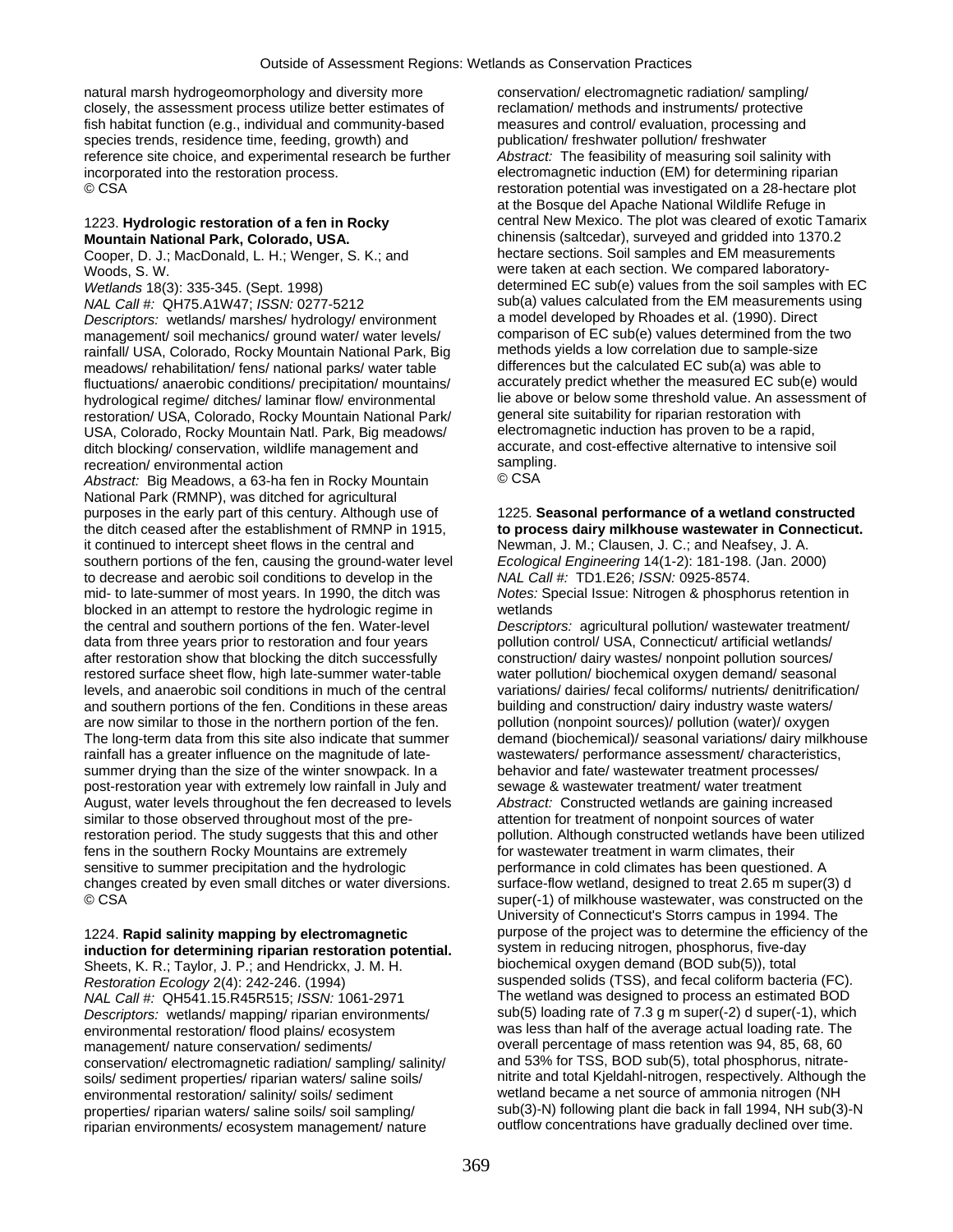natural marsh hydrogeomorphology and diversity more closely, the assessment process utilize better estimates of fish habitat function (e.g., individual and community-based species trends, residence time, feeding, growth) and reference site choice, and experimental research be further incorporated into the restoration process. © CSA

#### 1223. **Hydrologic restoration of a fen in Rocky Mountain National Park, Colorado, USA.**

Cooper, D. J.; MacDonald, L. H.; Wenger, S. K.; and Woods, S. W.

*Wetlands* 18(3): 335-345. (Sept. 1998) *NAL Call #:* QH75.A1W47; *ISSN:* 0277-5212 *Descriptors:* wetlands/ marshes/ hydrology/ environment management/ soil mechanics/ ground water/ water levels/ rainfall/ USA, Colorado, Rocky Mountain National Park, Big meadows/ rehabilitation/ fens/ national parks/ water table fluctuations/ anaerobic conditions/ precipitation/ mountains/ hydrological regime/ ditches/ laminar flow/ environmental restoration/ USA, Colorado, Rocky Mountain National Park/ USA, Colorado, Rocky Mountain Natl. Park, Big meadows/ ditch blocking/ conservation, wildlife management and recreation/ environmental action

*Abstract:* Big Meadows, a 63-ha fen in Rocky Mountain National Park (RMNP), was ditched for agricultural purposes in the early part of this century. Although use of the ditch ceased after the establishment of RMNP in 1915, it continued to intercept sheet flows in the central and southern portions of the fen, causing the ground-water level to decrease and aerobic soil conditions to develop in the mid- to late-summer of most years. In 1990, the ditch was blocked in an attempt to restore the hydrologic regime in the central and southern portions of the fen. Water-level data from three years prior to restoration and four years after restoration show that blocking the ditch successfully restored surface sheet flow, high late-summer water-table levels, and anaerobic soil conditions in much of the central and southern portions of the fen. Conditions in these areas are now similar to those in the northern portion of the fen. The long-term data from this site also indicate that summer rainfall has a greater influence on the magnitude of latesummer drying than the size of the winter snowpack. In a post-restoration year with extremely low rainfall in July and August, water levels throughout the fen decreased to levels similar to those observed throughout most of the prerestoration period. The study suggests that this and other fens in the southern Rocky Mountains are extremely sensitive to summer precipitation and the hydrologic changes created by even small ditches or water diversions. © CSA

## 1224. **Rapid salinity mapping by electromagnetic induction for determining riparian restoration potential.**

Sheets, K. R.; Taylor, J. P.; and Hendrickx, J. M. H. *Restoration Ecology* 2(4): 242-246. (1994) *NAL Call #:* QH541.15.R45R515; *ISSN:* 1061-2971 *Descriptors:* wetlands/ mapping/ riparian environments/ environmental restoration/ flood plains/ ecosystem management/ nature conservation/ sediments/ conservation/ electromagnetic radiation/ sampling/ salinity/ soils/ sediment properties/ riparian waters/ saline soils/ environmental restoration/ salinity/ soils/ sediment properties/ riparian waters/ saline soils/ soil sampling/ riparian environments/ ecosystem management/ nature

conservation/ electromagnetic radiation/ sampling/ reclamation/ methods and instruments/ protective measures and control/ evaluation, processing and publication/ freshwater pollution/ freshwater *Abstract:* The feasibility of measuring soil salinity with electromagnetic induction (EM) for determining riparian restoration potential was investigated on a 28-hectare plot at the Bosque del Apache National Wildlife Refuge in central New Mexico. The plot was cleared of exotic Tamarix chinensis (saltcedar), surveyed and gridded into 1370.2 hectare sections. Soil samples and EM measurements were taken at each section. We compared laboratorydetermined EC sub(e) values from the soil samples with EC sub(a) values calculated from the EM measurements using a model developed by Rhoades et al. (1990). Direct comparison of EC sub(e) values determined from the two methods yields a low correlation due to sample-size differences but the calculated EC sub(a) was able to accurately predict whether the measured EC sub(e) would lie above or below some threshold value. An assessment of general site suitability for riparian restoration with electromagnetic induction has proven to be a rapid, accurate, and cost-effective alternative to intensive soil sampling. © CSA

#### 1225. **Seasonal performance of a wetland constructed to process dairy milkhouse wastewater in Connecticut.**  Newman, J. M.; Clausen, J. C.; and Neafsey, J. A. *Ecological Engineering* 14(1-2): 181-198. (Jan. 2000) *NAL Call #:* TD1.E26; *ISSN:* 0925-8574. *Notes:* Special Issue: Nitrogen & phosphorus retention in wetlands

*Descriptors:* agricultural pollution/ wastewater treatment/ pollution control/ USA, Connecticut/ artificial wetlands/ construction/ dairy wastes/ nonpoint pollution sources/ water pollution/ biochemical oxygen demand/ seasonal variations/ dairies/ fecal coliforms/ nutrients/ denitrification/ building and construction/ dairy industry waste waters/ pollution (nonpoint sources)/ pollution (water)/ oxygen demand (biochemical)/ seasonal variations/ dairy milkhouse wastewaters/ performance assessment/ characteristics, behavior and fate/ wastewater treatment processes/ sewage & wastewater treatment/ water treatment *Abstract:* Constructed wetlands are gaining increased attention for treatment of nonpoint sources of water pollution. Although constructed wetlands have been utilized for wastewater treatment in warm climates, their performance in cold climates has been questioned. A surface-flow wetland, designed to treat 2.65 m super(3) d super(-1) of milkhouse wastewater, was constructed on the University of Connecticut's Storrs campus in 1994. The purpose of the project was to determine the efficiency of the system in reducing nitrogen, phosphorus, five-day biochemical oxygen demand (BOD sub(5)), total suspended solids (TSS), and fecal coliform bacteria (FC). The wetland was designed to process an estimated BOD sub(5) loading rate of 7.3 g m super(-2) d super(-1), which was less than half of the average actual loading rate. The overall percentage of mass retention was 94, 85, 68, 60 and 53% for TSS, BOD sub(5), total phosphorus, nitratenitrite and total Kjeldahl-nitrogen, respectively. Although the wetland became a net source of ammonia nitrogen (NH sub(3)-N) following plant die back in fall 1994, NH sub(3)-N outflow concentrations have gradually declined over time.